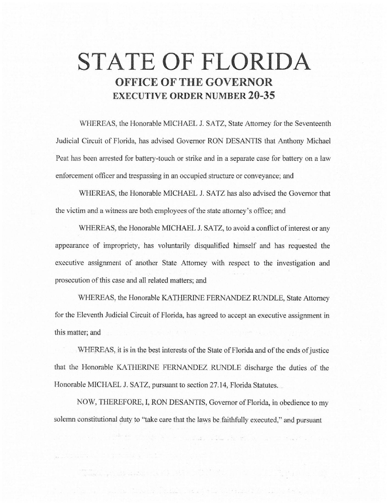# **STATE OF FLORIDA OFFICE OF THE GOVERNOR EXECUTIVE ORDER NUMBER 20-35**

WHEREAS, the Honorable MICHAEL J. SATZ, State Attorney for the Seventeenth Judicial Circuit of Florida, has advised Governor RON DESANTIS that Anthony Michael Peat has been arrested for battery-touch or strike and in a separate case for battery on a law enforcement officer and trespassing in an occupied structure or conveyance; and

\VHEREAS, the Honorable MICHAEL J. SATZ has also advised the Governor that the victim and a witness are both employees of the state attorney's office; and

WHEREAS, the Honorable MICHAEL J. SATZ, to avoid a conflict of interest or any appearance of impropriety, has voluntarily disqualified himself and has requested the executive assignment of another State Attorney with respect to the investigation and prosecution of this case and all related matters; and

WHEREAS, the Honorable KATHERINE FERNANDEZ RUNDLE, State Attorney for the Eleventh Judicial Circuit of Florida, has agreed to accept an executive assignment in this matter; and

WHEREAS, it is in the best interests of the State of Florida and of the ends of justice that the Honorable KATHERINE FERNANDEZ RUNDLE discharge the duties of the Honorable MICHAEL J. SATZ, pursuant to section 27.14, Florida Statutes.

NOW, THEREFORE, I, RON DESANTIS, Governor of Florida, in obedience to my solemn constitutional duty to "take care that the laws be.faithfully executed," and pursuant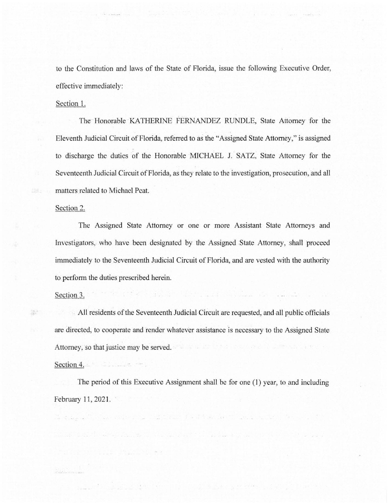to the Constitution and laws of the State of Florida, issue the following Executive Order, effective immediately:

#### Section 1.

The Honorable KATHERINE FERNANDEZ RUNDLE, State Attorney for the Eleventh Judicial Circuit of Florida, referred to as the "Assigned State Attorney," is assigned to discharge the duties of the Honorable MICHAEL J. SATZ, State Attorney for the Seventeenth Judicial Circuit of Florida, as they relate to the investigation, prosecution., and all matters related to Michael Peat.

#### Section 2.

The Assigned State Attorney or one or more Assistant State Attorneys and Investigators, who have been designated by the Assigned State Attorney, shall proceed immediately to the Seventeenth Judicial Circuit of Florida, and are vested with the authority to perform the duties prescribed herein.

### Section 3.

 $\frac{1}{2} \lambda^2$ 

Section 4.

All residents of the Seventeenth Judicial Circuit are requested, and all public officials are directed, to cooperate and render whatever assistance is necessary to the Assigned State Attorney, so that justice may be served.

## The period of this Executive Assignment shall be for one (1) year, to and including February 11, 2021.

r a chairm an t-ainm an chairm an chairm an chairm an chairm an chairm an chairm an chairm an chairm an chairm